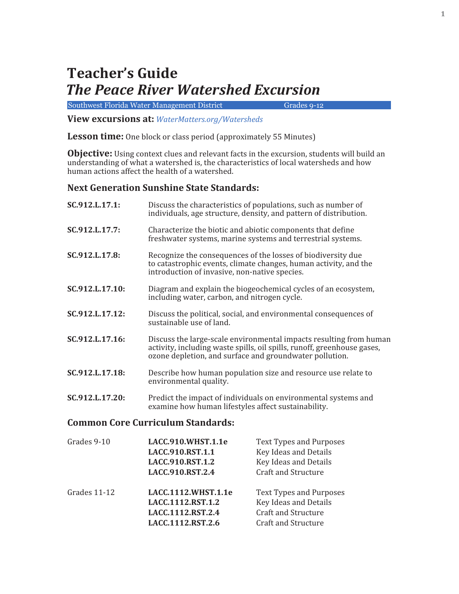## **Teacher's Guide** *The Peace River Watershed Excursion*

Southwest Florida Water Management District Grades 9-12

**View excursions at:** *WaterMatters.org/Watersheds*

**Lesson time:** One block or class period (approximately 55 Minutes)

**Objective:** Using context clues and relevant facts in the excursion, students will build an understanding of what a watershed is, the characteristics of local watersheds and how human actions affect the health of a watershed.

#### **Next Generation Sunshine State Standards:**

| SC.912.L.17.1:  | Discuss the characteristics of populations, such as number of<br>individuals, age structure, density, and pattern of distribution.                                                                       |
|-----------------|----------------------------------------------------------------------------------------------------------------------------------------------------------------------------------------------------------|
| SC.912.L.17.7:  | Characterize the biotic and abiotic components that define<br>freshwater systems, marine systems and terrestrial systems.                                                                                |
| SC.912.L.17.8:  | Recognize the consequences of the losses of biodiversity due<br>to catastrophic events, climate changes, human activity, and the<br>introduction of invasive, non-native species.                        |
| SC.912.L.17.10: | Diagram and explain the biogeochemical cycles of an ecosystem,<br>including water, carbon, and nitrogen cycle.                                                                                           |
| SC.912.L.17.12: | Discuss the political, social, and environmental consequences of<br>sustainable use of land.                                                                                                             |
| SC.912.L.17.16: | Discuss the large-scale environmental impacts resulting from human<br>activity, including waste spills, oil spills, runoff, greenhouse gases,<br>ozone depletion, and surface and groundwater pollution. |
| SC.912.L.17.18: | Describe how human population size and resource use relate to<br>environmental quality.                                                                                                                  |
| SC.912.L.17.20: | Predict the impact of individuals on environmental systems and<br>examine how human lifestyles affect sustainability.                                                                                    |

#### **Common Core Curriculum Standards:**

| Grades 9-10  | LACC.910.WHST.1.1e<br>LACC.910.RST.1.1<br>LACC.910.RST.1.2<br>LACC.910.RST.2.4     | <b>Text Types and Purposes</b><br>Key Ideas and Details<br>Key Ideas and Details<br><b>Craft and Structure</b>      |
|--------------|------------------------------------------------------------------------------------|---------------------------------------------------------------------------------------------------------------------|
| Grades 11-12 | LACC.1112.WHST.1.1e<br>LACC.1112.RST.1.2<br>LACC.1112.RST.2.4<br>LACC.1112.RST.2.6 | <b>Text Types and Purposes</b><br>Key Ideas and Details<br><b>Craft and Structure</b><br><b>Craft and Structure</b> |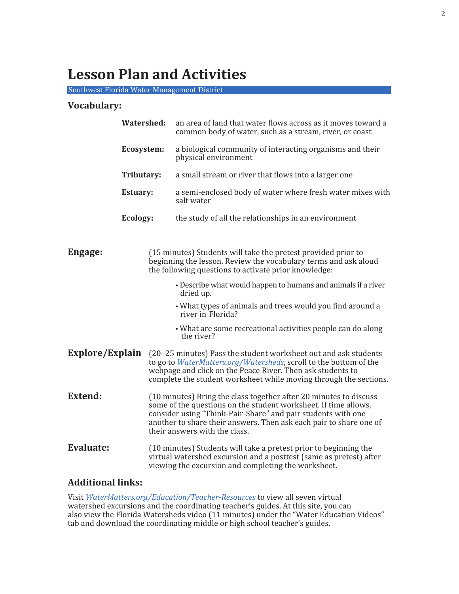## **Lesson Plan and Activities**

Southwest Florida Water Management District

#### **Vocabulary:**

| <b>Watershed:</b>      |                 |  | an area of land that water flows across as it moves toward a<br>common body of water, such as a stream, river, or coast                                                                                                                                                                                     |  |
|------------------------|-----------------|--|-------------------------------------------------------------------------------------------------------------------------------------------------------------------------------------------------------------------------------------------------------------------------------------------------------------|--|
|                        | Ecosystem:      |  | a biological community of interacting organisms and their<br>physical environment                                                                                                                                                                                                                           |  |
|                        | Tributary:      |  | a small stream or river that flows into a larger one                                                                                                                                                                                                                                                        |  |
|                        | <b>Estuary:</b> |  | a semi-enclosed body of water where fresh water mixes with<br>salt water                                                                                                                                                                                                                                    |  |
|                        | Ecology:        |  | the study of all the relationships in an environment                                                                                                                                                                                                                                                        |  |
|                        |                 |  |                                                                                                                                                                                                                                                                                                             |  |
| Engage:                |                 |  | (15 minutes) Students will take the pretest provided prior to<br>beginning the lesson. Review the vocabulary terms and ask aloud<br>the following questions to activate prior knowledge:                                                                                                                    |  |
|                        |                 |  | • Describe what would happen to humans and animals if a river<br>dried up.                                                                                                                                                                                                                                  |  |
|                        |                 |  | • What types of animals and trees would you find around a<br>river in Florida?                                                                                                                                                                                                                              |  |
|                        |                 |  | • What are some recreational activities people can do along<br>the river?                                                                                                                                                                                                                                   |  |
| <b>Explore/Explain</b> |                 |  | (20-25 minutes) Pass the student worksheet out and ask students<br>to go to WaterMatters.org/Watersheds, scroll to the bottom of the<br>webpage and click on the Peace River. Then ask students to<br>complete the student worksheet while moving through the sections.                                     |  |
| <b>Extend:</b>         |                 |  | (10 minutes) Bring the class together after 20 minutes to discuss<br>some of the questions on the student worksheet. If time allows,<br>consider using "Think-Pair-Share" and pair students with one<br>another to share their answers. Then ask each pair to share one of<br>their answers with the class. |  |
| <b>Evaluate:</b>       |                 |  | (10 minutes) Students will take a pretest prior to beginning the<br>virtual watershed excursion and a posttest (same as pretest) after<br>viewing the excursion and completing the worksheet.                                                                                                               |  |

#### **Additional links:**

Visit *WaterMatters.org/Education/Teacher-Resources* to view all seven virtual watershed excursions and the coordinating teacher's guides. At this site, you can also view the Florida Watersheds video (11 minutes) under the "Water Education Videos" tab and download the coordinating middle or high school teacher's guides.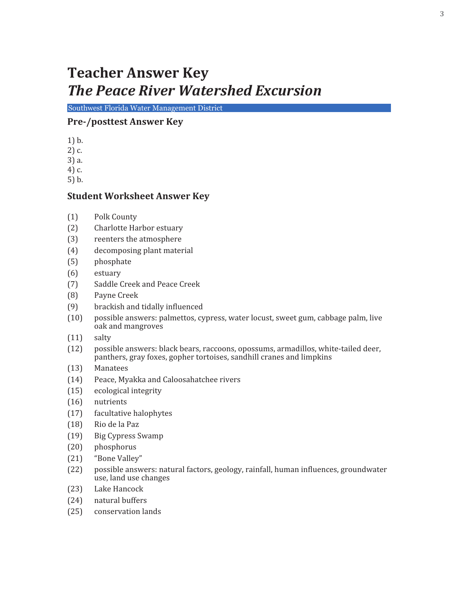## **Teacher Answer Key**  *The Peace River Watershed Excursion*

Southwest Florida Water Management District

## **Pre-/posttest Answer Key**

- 1) b.
- 2) c.
- 3) a.
- 4) c.
- 5) b.

## **Student Worksheet Answer Key**

- (1) Polk County
- (2) Charlotte Harbor estuary
- (3) reenters the atmosphere
- (4) decomposing plant material
- (5) phosphate
- (6) estuary
- (7) Saddle Creek and Peace Creek
- (8) Payne Creek
- (9) brackish and tidally influenced
- (10) possible answers: palmettos, cypress, water locust, sweet gum, cabbage palm, live oak and mangroves
- (11) salty
- (12) possible answers: black bears, raccoons, opossums, armadillos, white-tailed deer, panthers, gray foxes, gopher tortoises, sandhill cranes and limpkins
- (13) Manatees
- (14) Peace, Myakka and Caloosahatchee rivers
- (15) ecological integrity
- (16) nutrients
- (17) facultative halophytes
- (18) Rio de la Paz
- (19) Big Cypress Swamp
- (20) phosphorus
- (21) "Bone Valley"
- (22) possible answers: natural factors, geology, rainfall, human in�luences, groundwater use, land use changes
- (23) Lake Hancock
- (24) natural buffers
- (25) conservation lands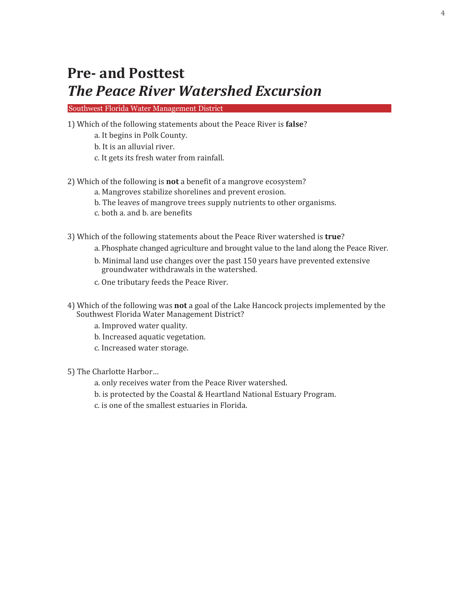## **Pre- and Posttest**  *The Peace River Watershed Excursion*

Southwest Florida Water Management District

- 1) Which of the following statements about the Peace River is **false**?
	- a. It begins in Polk County.
	- b. It is an alluvial river.
	- c. It gets its fresh water from rainfall.

#### 2) Which of the following is **not** a bene�it of a mangrove ecosystem?

- a. Mangroves stabilize shorelines and prevent erosion.
- b. The leaves of mangrove trees supply nutrients to other organisms.
- c. both a. and b. are bene�its

3) Which of the following statements about the Peace River watershed is **true**?

- a. Phosphate changed agriculture and brought value to the land along the Peace River.
- b. Minimal land use changes over the past 150 years have prevented extensive groundwater withdrawals in the watershed.
- c. One tributary feeds the Peace River.
- 4) Which of the following was **not** a goal of the Lake Hancock projects implemented by the Southwest Florida Water Management District?
	- a. Improved water quality.
	- b. Increased aquatic vegetation.
	- c. Increased water storage.

5) The Charlotte Harbor…

- a. only receives water from the Peace River watershed.
- b. is protected by the Coastal & Heartland National Estuary Program.
- c. is one of the smallest estuaries in Florida.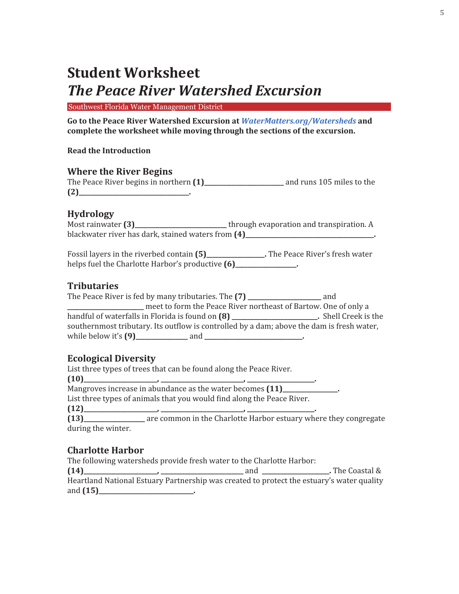# **Student Worksheet** *The Peace River Watershed Excursion*

Southwest Florida Water Management District

**Go to the Peace River Watershed Excursion at** *WaterMatters.org/Watersheds* **and complete the worksheet while moving through the sections of the excursion.** 

#### **Read the Introduction**

#### **Where the River Begins**

| The Peace River begins in northern (1) | and runs 105 miles to the |
|----------------------------------------|---------------------------|
| (2)                                    |                           |

## **Hydrology**

|                                                    | through evaporation and transpiration. A |
|----------------------------------------------------|------------------------------------------|
| blackwater river has dark, stained waters from (4) |                                          |

Fossil layers in the riverbed contain **(5)\_\_\_\_\_\_\_\_\_\_\_\_\_\_\_\_\_\_\_.** The Peace River's fresh water helps fuel the Charlotte Harbor's productive  $(6)$ \_\_\_\_\_\_\_\_\_\_\_\_\_\_\_\_\_.

## **Tributaries**

| The Peace River is fed by many tributaries. The (7) _____________                         | and                |
|-------------------------------------------------------------------------------------------|--------------------|
| meet to form the Peace River northeast of Bartow. One of only a                           |                    |
| handful of waterfalls in Florida is found on (8) _______________________________          | Shell Creek is the |
| southernmost tributary. Its outflow is controlled by a dam; above the dam is fresh water, |                    |
|                                                                                           |                    |

## **Ecological Diversity**

List three types of trees that can be found along the Peace River. **(10)\_\_\_\_\_\_\_\_\_\_\_\_\_\_\_\_\_\_\_\_\_\_\_\_, \_\_\_\_\_\_\_\_\_\_\_\_\_\_\_\_\_\_\_\_\_\_\_\_\_\_\_, \_\_\_\_\_\_\_\_\_\_\_\_\_\_\_\_\_\_\_\_\_\_.** Mangroves increase in abundance as the water becomes **(11)\_\_\_\_\_\_\_\_\_\_\_\_\_\_\_\_\_\_.** List three types of animals that you would find along the Peace River. **(12)\_\_\_\_\_\_\_\_\_\_\_\_\_\_\_\_\_\_\_\_\_\_\_\_, \_\_\_\_\_\_\_\_\_\_\_\_\_\_\_\_\_\_\_\_\_\_\_\_\_\_\_, \_\_\_\_\_\_\_\_\_\_\_\_\_\_\_\_\_\_\_\_\_\_. (13)\_\_\_\_\_\_\_\_\_\_\_\_\_\_\_\_\_\_\_\_** are common in the Charlotte Harbor estuary where they congregate during the winter.

## **Charlotte Harbor**

The following watersheds provide fresh water to the Charlotte Harbor:

**(14)\_\_\_\_\_\_\_\_\_\_\_\_\_\_\_\_\_\_\_\_\_\_\_\_, \_\_\_\_\_\_\_\_\_\_\_\_\_\_\_\_\_\_\_\_\_\_\_\_\_\_\_** and **\_\_\_\_\_\_\_\_\_\_\_\_\_\_\_\_\_\_\_\_\_\_.** The Coastal & Heartland National Estuary Partnership was created to protect the estuary's water quality and **(15)\_\_\_\_\_\_\_\_\_\_\_\_\_\_\_\_\_\_\_\_\_\_\_\_\_\_\_\_\_\_\_.**